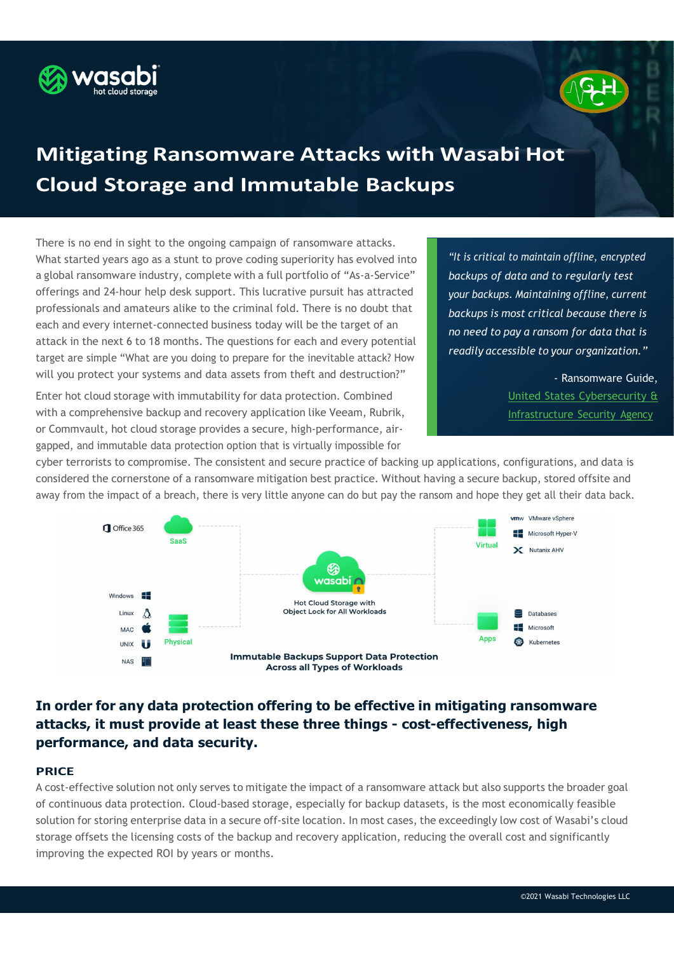



# Mitigating Ransomware Attacks with Wasabi Hot Cloud Storage and Immutable Backups

There is no end in sight to the ongoing campaign of ransomware attacks. What started years ago as a stunt to prove coding superiority has evolved into a global ransomware industry, complete with a full portfolio of "As-a-Service" offerings and 24-hour help desk support. This lucrative pursuit has attracted professionals and amateurs alike to the criminal fold. There is no doubt that each and every internet-connected business today will be the target of an attack in the next 6 to 18 months. The questions for each and every potential target are simple "What are you doing to prepare for the inevitable attack? How will you protect your systems and data assets from theft and destruction?"

Enter hot cloud storage with immutability for data protection. Combined with a comprehensive backup and recovery application like Veeam, Rubrik, or Commvault, hot cloud storage provides a secure, high-performance, airgapped, and immutable data protection option that is virtually impossible for

"It is critical to maintain offline, encrypted backups of data and to regularly test your backups. Maintaining offline, current backups is most critical because there is no need to pay a ransom for data that is readily accessible to your organization."

> - Ransomware Guide, United States Cybersecurity & Infrastructure Security Agency

cyber terrorists to compromise. The consistent and secure practice of backing up applications, configurations, and data is considered the cornerstone of a ransomware mitigation best practice. Without having a secure backup, stored offsite and away from the impact of a breach, there is very little anyone can do but pay the ransom and hope they get all their data back.



# In order for any data protection offering to be effective in mitigating ransomware attacks, it must provide at least these three things - cost-effectiveness, high performance, and data security.

# **PRICE**

A cost-effective solution not only serves to mitigate the impact of a ransomware attack but also supports the broader goal of continuous data protection. Cloud-based storage, especially for backup datasets, is the most economically feasible solution for storing enterprise data in a secure off-site location. In most cases, the exceedingly low cost of Wasabi's cloud storage offsets the licensing costs of the backup and recovery application, reducing the overall cost and significantly improving the expected ROI by years or months.